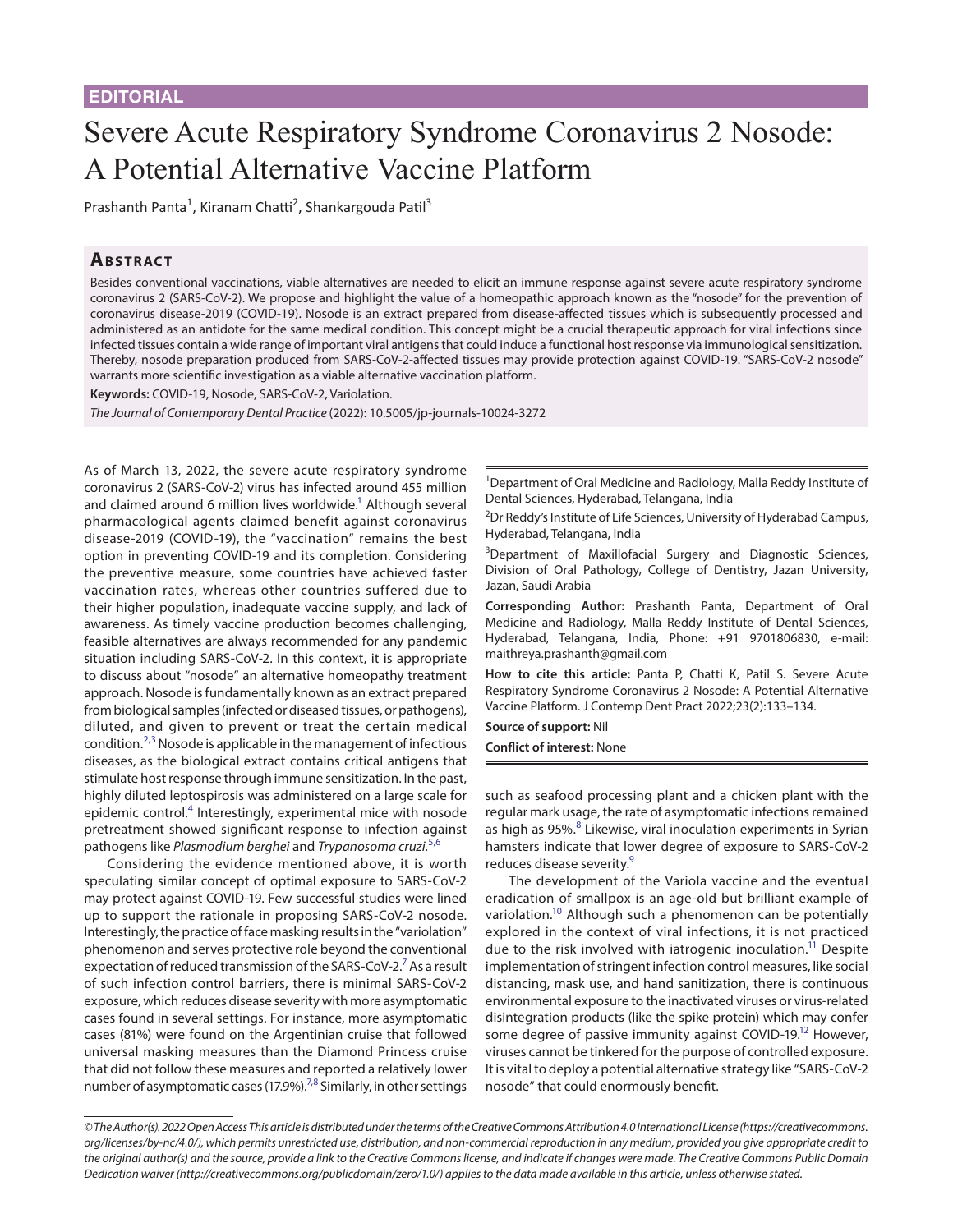## Severe Acute Respiratory Syndrome Coronavirus 2 Nosode: A Potential Alternative Vaccine Platform

Prashanth Panta<sup>1</sup>, Kiranam Chatti<sup>2</sup>, Shankargouda Patil<sup>3</sup>

## **ABSTRACT**

Besides conventional vaccinations, viable alternatives are needed to elicit an immune response against severe acute respiratory syndrome coronavirus 2 (SARS-CoV-2). We propose and highlight the value of a homeopathic approach known as the "nosode" for the prevention of coronavirus disease-2019 (COVID-19). Nosode is an extract prepared from disease-affected tissues which is subsequently processed and administered as an antidote for the same medical condition. This concept might be a crucial therapeutic approach for viral infections since infected tissues contain a wide range of important viral antigens that could induce a functional host response via immunological sensitization. Thereby, nosode preparation produced from SARS-CoV-2-affected tissues may provide protection against COVID-19. "SARS-CoV-2 nosode" warrants more scientific investigation as a viable alternative vaccination platform.

**Keywords:** COVID-19, Nosode, SARS-CoV-2, Variolation.

*The Journal of Contemporary Dental Practice* (2022): 10.5005/jp-journals-10024-3272

As of March 13, 2022, the severe acute respiratory syndrome coronavirus 2 (SARS-CoV-2) virus has infected around 455 million and claimed around 6 million lives worldwide.<sup>1</sup> Although several pharmacological agents claimed benefit against coronavirus disease-2019 (COVID-19), the "vaccination" remains the best option in preventing COVID-19 and its completion. Considering the preventive measure, some countries have achieved faster vaccination rates, whereas other countries suffered due to their higher population, inadequate vaccine supply, and lack of awareness. As timely vaccine production becomes challenging, feasible alternatives are always recommended for any pandemic situation including SARS-CoV-2. In this context, it is appropriate to discuss about "nosode" an alternative homeopathy treatment approach. Nosode is fundamentally known as an extract prepared from biological samples (infected or diseased tissues, or pathogens), diluted, and given to prevent or treat the certain medical condition.<sup>[2,](#page-1-1)[3](#page-1-2)</sup> Nosode is applicable in the management of infectious diseases, as the biological extract contains critical antigens that stimulate host response through immune sensitization. In the past, highly diluted leptospirosis was administered on a large scale for epidemic control.<sup>[4](#page-1-3)</sup> Interestingly, experimental mice with nosode pretreatment showed significant response to infection against pathogens like *Plasmodium berghei* and *Trypanosoma cruzi*. [5,](#page-1-4)[6](#page-1-5)

Considering the evidence mentioned above, it is worth speculating similar concept of optimal exposure to SARS-CoV-2 may protect against COVID-19. Few successful studies were lined up to support the rationale in proposing SARS-CoV-2 nosode. Interestingly, the practice of face masking results in the "variolation" phenomenon and serves protective role beyond the conventional expectation of reduced transmission of the SARS-CoV-2.<sup>7</sup> As a result of such infection control barriers, there is minimal SARS-CoV-2 exposure, which reduces disease severity with more asymptomatic cases found in several settings. For instance, more asymptomatic cases (81%) were found on the Argentinian cruise that followed universal masking measures than the Diamond Princess cruise that did not follow these measures and reported a relatively lower number of asymptomatic cases (17.9%).<sup>7[,8](#page-1-7)</sup> Similarly, in other settings

<sup>1</sup>Department of Oral Medicine and Radiology, Malla Reddy Institute of Dental Sciences, Hyderabad, Telangana, India

<sup>2</sup>Dr Reddy's Institute of Life Sciences, University of Hyderabad Campus, Hyderabad, Telangana, India

<sup>3</sup>Department of Maxillofacial Surgery and Diagnostic Sciences, Division of Oral Pathology, College of Dentistry, Jazan University, Jazan, Saudi Arabia

**Corresponding Author:** Prashanth Panta, Department of Oral Medicine and Radiology, Malla Reddy Institute of Dental Sciences, Hyderabad, Telangana, India, Phone: +91 9701806830, e-mail: maithreya.prashanth@gmail.com

**How to cite this article:** Panta P, Chatti K, Patil S. Severe Acute Respiratory Syndrome Coronavirus 2 Nosode: A Potential Alternative Vaccine Platform. J Contemp Dent Pract 2022;23(2):133–134.

**Source of support:** Nil **Conflict of interest:** None

such as seafood processing plant and a chicken plant with the regular mark usage, the rate of asymptomatic infections remained as high as 95%.<sup>[8](#page-1-7)</sup> Likewise, viral inoculation experiments in Syrian hamsters indicate that lower degree of exposure to SARS-CoV-2 reduces disease severity.<sup>9</sup>

The development of the Variola vaccine and the eventual eradication of smallpox is an age-old but brilliant example of variolation.<sup>10</sup> Although such a phenomenon can be potentially explored in the context of viral infections, it is not practiced due to the risk involved with iatrogenic inoculation.<sup>11</sup> Despite implementation of stringent infection control measures, like social distancing, mask use, and hand sanitization, there is continuous environmental exposure to the inactivated viruses or virus-related disintegration products (like the spike protein) which may confer some degree of passive immunity against COVID-19.<sup>12</sup> However, viruses cannot be tinkered for the purpose of controlled exposure. It is vital to deploy a potential alternative strategy like "SARS-CoV-2 nosode" that could enormously benefit.

*<sup>©</sup> The Author(s). 2022 Open Access This article is distributed under the terms of the Creative Commons Attribution 4.0 International License ([https://creativecommons.](https://creativecommons.org/licenses/by-nc/4.0/) [org/licenses/by-nc/4.0/](https://creativecommons.org/licenses/by-nc/4.0/)), which permits unrestricted use, distribution, and non-commercial reproduction in any medium, provided you give appropriate credit to the original author(s) and the source, provide a link to the Creative Commons license, and indicate if changes were made. The Creative Commons Public Domain Dedication waiver ([http://creativecommons.org/publicdomain/zero/1.0/\)](http://creativecommons.org/publicdomain/zero/1.0/) applies to the data made available in this article, unless otherwise stated.*